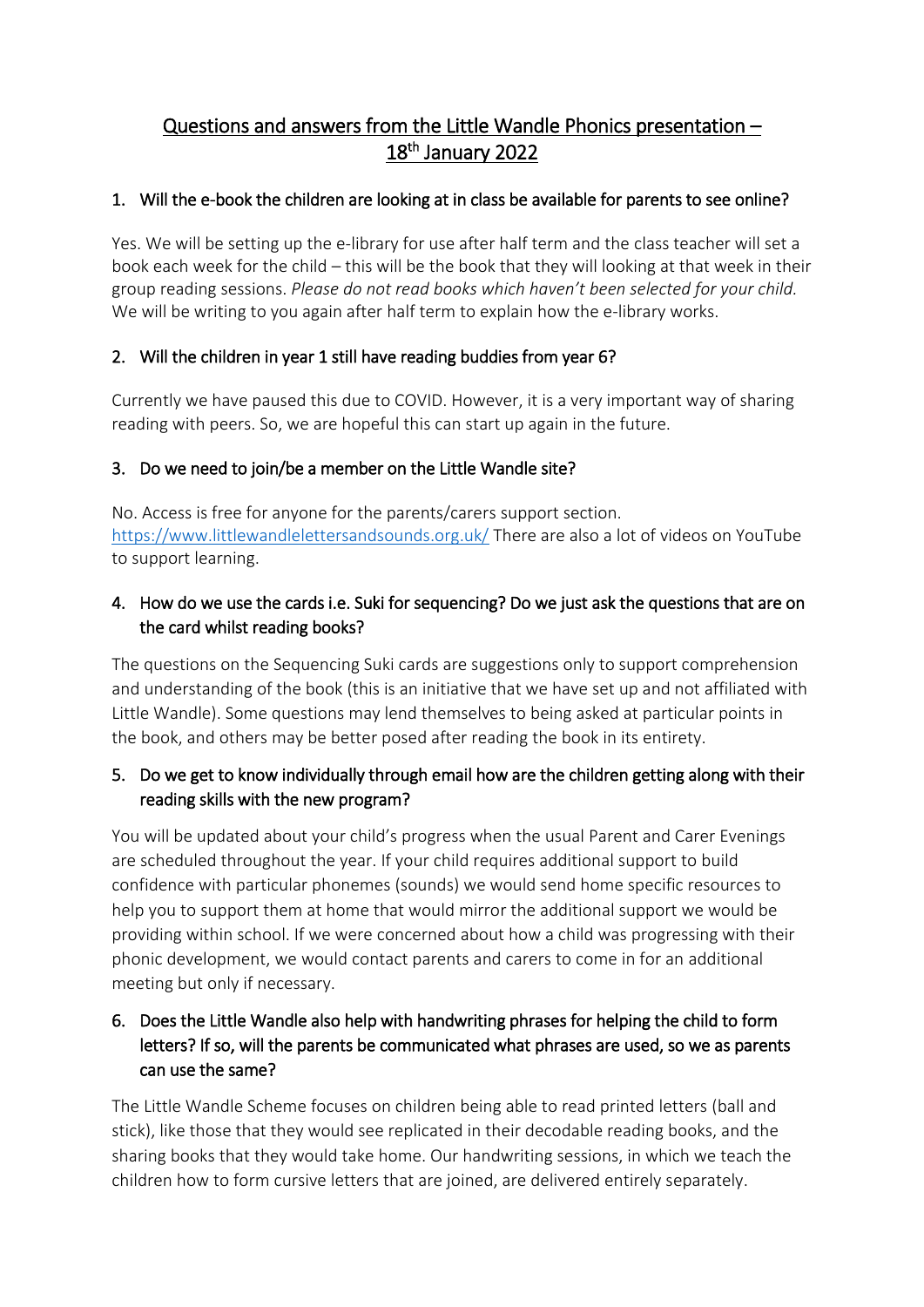# Questions and answers from the Little Wandle Phonics presentation – 18<sup>th</sup> January 2022

## 1. Will the e-book the children are looking at in class be available for parents to see online?

Yes. We will be setting up the e-library for use after half term and the class teacher will set a book each week for the child – this will be the book that they will looking at that week in their group reading sessions. *Please do not read books which haven't been selected for your child.*  We will be writing to you again after half term to explain how the e-library works.

## 2. Will the children in year 1 still have reading buddies from year 6?

Currently we have paused this due to COVID. However, it is a very important way of sharing reading with peers. So, we are hopeful this can start up again in the future.

#### 3. Do we need to join/be a member on the Little Wandle site?

No. Access is free for anyone for the parents/carers support section. <https://www.littlewandlelettersandsounds.org.uk/> There are also a lot of videos on YouTube to support learning.

## 4. How do we use the cards i.e. Suki for sequencing? Do we just ask the questions that are on the card whilst reading books?

The questions on the Sequencing Suki cards are suggestions only to support comprehension and understanding of the book (this is an initiative that we have set up and not affiliated with Little Wandle). Some questions may lend themselves to being asked at particular points in the book, and others may be better posed after reading the book in its entirety.

# 5. Do we get to know individually through email how are the children getting along with their reading skills with the new program?

You will be updated about your child's progress when the usual Parent and Carer Evenings are scheduled throughout the year. If your child requires additional support to build confidence with particular phonemes (sounds) we would send home specific resources to help you to support them at home that would mirror the additional support we would be providing within school. If we were concerned about how a child was progressing with their phonic development, we would contact parents and carers to come in for an additional meeting but only if necessary.

# 6. Does the Little Wandle also help with handwriting phrases for helping the child to form letters? If so, will the parents be communicated what phrases are used, so we as parents can use the same?

The Little Wandle Scheme focuses on children being able to read printed letters (ball and stick), like those that they would see replicated in their decodable reading books, and the sharing books that they would take home. Our handwriting sessions, in which we teach the children how to form cursive letters that are joined, are delivered entirely separately.